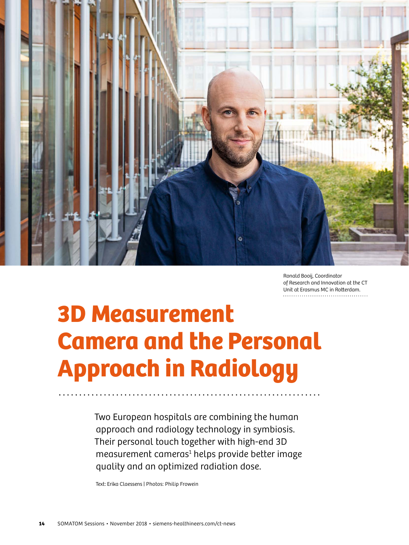

Ronald Booij, Coordinator of Research and Innovation at the CT Unit at Erasmus MC in Rotterdam.

# 3D Measurement Camera and the Personal Approach in Radiology

Two European hospitals are combining the human approach and radiology technology in symbiosis. Their personal touch together with high-end 3D measurement cameras<sup>1</sup> helps provide better image quality and an optimized radiation dose.

Text: Erika Claessens | Photos: Philip Frowein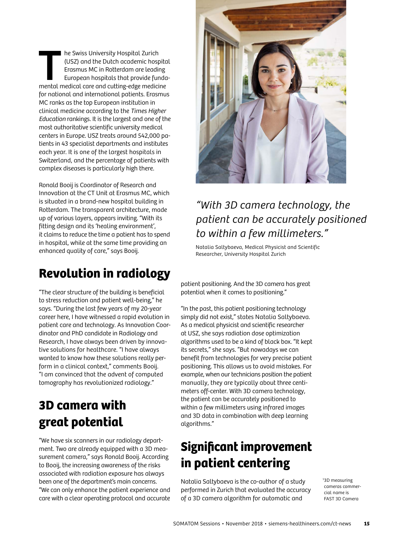The Swiss University Hospital Zurich<br>
(USZ) and the Dutch academic hospital<br>
Erasmus MC in Rotterdam are leading<br>
European hospitals that provide fundamental medical care and cutting-edge medicine (USZ) and the Dutch academic hospital Erasmus MC in Rotterdam are leading European hospitals that provide fundafor national and international patients. Erasmus MC ranks as the top European institution in clinical medicine according to the Times Higher Education rankings. It is the largest and one of the most authoritative scientific university medical centers in Europe. USZ treats around 542,000 patients in 43 specialist departments and institutes each year. It is one of the largest hospitals in Switzerland, and the percentage of patients with complex diseases is particularly high there.

Ronald Booij is Coordinator of Research and Innovation at the CT Unit at Erasmus MC, which is situated in a brand-new hospital building in Rotterdam. The transparent architecture, made up of various layers, appears inviting. "With its fitting design and its 'healing environment', it claims to reduce the time a patient has to spend in hospital, while at the same time providing an enhanced quality of care," says Booij.

# **Revolution in radiology**

"The clear structure of the building is beneficial to stress reduction and patient well-being," he says. "During the last few years of my 20-year career here, I have witnessed a rapid evolution in patient care and technology. As Innovation Coordinator and PhD candidate in Radiology and Research, I have always been driven by innovative solutions for healthcare. "I have always wanted to know how these solutions really perform in a clinical context," comments Booij. "I am convinced that the advent of computed tomography has revolutionized radiology."

# **3D camera with great potential**

"We have six scanners in our radiology department. Two are already equipped with a 3D measurement camera," says Ronald Booij. According to Booij, the increasing awareness of the risks associated with radiation exposure has always been one of the department's main concerns. "We can only enhance the patient experience and care with a clear operating protocol and accurate



## "With 3D camera technology, the patient can be accurately positioned to within a few millimeters."

Natalia Saltybaeva, Medical Physicist and Scientific Researcher, University Hospital Zurich

patient positioning. And the 3D camera has great potential when it comes to positioning."

"In the past, this patient positioning technology simply did not exist," states Natalia Saltybaeva. As a medical physicist and scientific researcher at USZ, she says radiation dose optimization algorithms used to be a kind of black box. "It kept its secrets," she says. "But nowadays we can benefit from technologies for very precise patient positioning. This allows us to avoid mistakes. For example, when our technicians position the patient manually, they are typically about three centimeters off-center. With 3D camera technology, the patient can be accurately positioned to within a few millimeters using infrared images and 3D data in combination with deep learning algorithms."

# **Significant improvement in patient centering**

Natalia Saltybaeva is the co-author of a study performed in Zurich that evaluated the accuracy of a 3D camera algorithm for automatic and

1 3D measuring cameras commercial name is FAST 3D Camera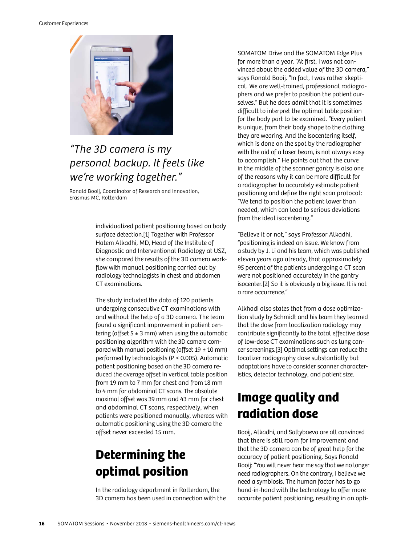Customer Experiences



## "The 3D camera is my personal backup. It feels like we're working together."

Ronald Booij, Coordinator of Research and Innovation, Erasmus MC, Rotterdam

> individualized patient positioning based on body surface detection.[1] Together with Professor Hatem Alkadhi, MD, Head of the Institute of Diagnostic and Interventional Radiology at USZ, she compared the results of the 3D camera workflow with manual positioning carried out by radiology technologists in chest and abdomen CT examinations.

The study included the data of 120 patients undergoing consecutive CT examinations with and without the help of a 3D camera. The team found a significant improvement in patient centering (offset  $5 \pm 3$  mm) when using the automatic positioning algorithm with the 3D camera compared with manual positioning (offset  $19 \pm 10$  mm) performed by technologists (P < 0.005). Automatic patient positioning based on the 3D camera reduced the average offset in vertical table position from 19 mm to 7 mm for chest and from 18 mm to 4 mm for abdominal CT scans. The absolute maximal offset was 39 mm and 43 mm for chest and abdominal CT scans, respectively, when patients were positioned manually, whereas with automatic positioning using the 3D camera the offset never exceeded 15 mm.

# **Determining the optimal position**

In the radiology department in Rotterdam, the 3D camera has been used in connection with the SOMATOM Drive and the SOMATOM Edge Plus for more than a year. "At first, I was not convinced about the added value of the 3D camera," says Ronald Booij. "In fact, I was rather skeptical. We are well-trained, professional radiographers and we prefer to position the patient ourselves." But he does admit that it is sometimes difficult to interpret the optimal table position for the body part to be examined. "Every patient is unique, from their body shape to the clothing they are wearing. And the isocentering itself, which is done on the spot by the radiographer with the aid of a laser beam, is not always easy to accomplish." He points out that the curve in the middle of the scanner gantry is also one of the reasons why it can be more difficult for a radiographer to accurately estimate patient positioning and define the right scan protocol: "We tend to position the patient lower than needed, which can lead to serious deviations from the ideal isocentering."

"Believe it or not," says Professor Alkadhi, "positioning is indeed an issue. We know from a study by J. Li and his team, which was published eleven years ago already, that approximately 95 percent of the patients undergoing a CT scan were not positioned accurately in the gantry isocenter.[2] So it is obviously a big issue. It is not a rare occurrence."

Alkhadi also states that from a dose optimization study by Schmidt and his team they learned that the dose from localization radiology may contribute significantly to the total effective dose of low-dose CT examinations such as lung cancer screenings.[3] Optimal settings can reduce the localizer radiography dose substantially but adaptations have to consider scanner characteristics, detector technology, and patient size.

# **Image quality and radiation dose**

Booij, Alkadhi, and Saltybaeva are all convinced that there is still room for improvement and that the 3D camera can be of great help for the accuracy of patient positioning. Says Ronald Booij: "You will never hear me say that we no longer need radiographers. On the contrary, I believe we need a symbiosis. The human factor has to go hand-in-hand with the technology to offer more accurate patient positioning, resulting in an opti-